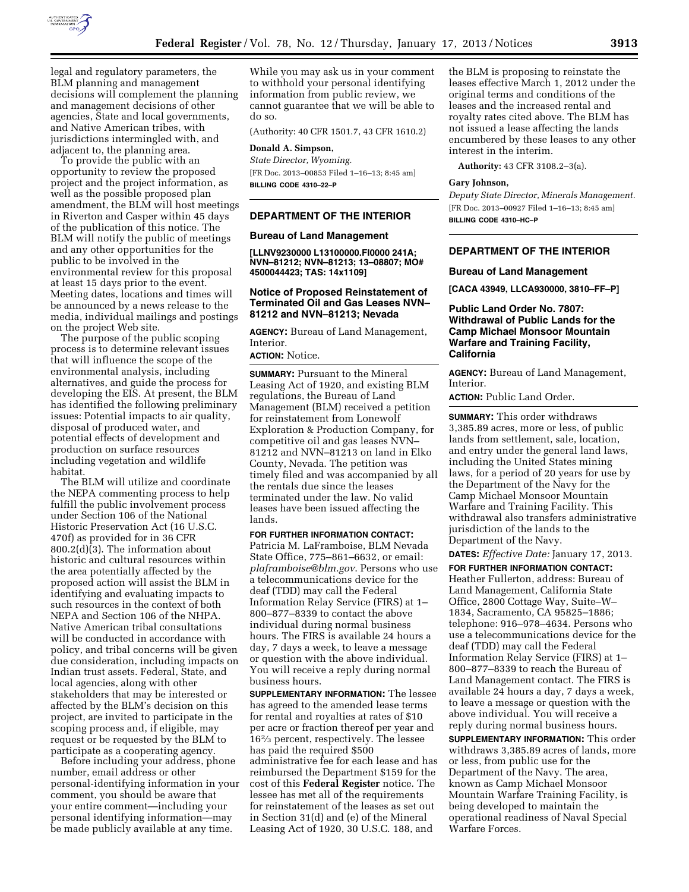

legal and regulatory parameters, the BLM planning and management decisions will complement the planning and management decisions of other agencies, State and local governments, and Native American tribes, with jurisdictions intermingled with, and adjacent to, the planning area.

To provide the public with an opportunity to review the proposed project and the project information, as well as the possible proposed plan amendment, the BLM will host meetings in Riverton and Casper within 45 days of the publication of this notice. The BLM will notify the public of meetings and any other opportunities for the public to be involved in the environmental review for this proposal at least 15 days prior to the event. Meeting dates, locations and times will be announced by a news release to the media, individual mailings and postings on the project Web site.

The purpose of the public scoping process is to determine relevant issues that will influence the scope of the environmental analysis, including alternatives, and guide the process for developing the EIS. At present, the BLM has identified the following preliminary issues: Potential impacts to air quality, disposal of produced water, and potential effects of development and production on surface resources including vegetation and wildlife habitat.

The BLM will utilize and coordinate the NEPA commenting process to help fulfill the public involvement process under Section 106 of the National Historic Preservation Act (16 U.S.C. 470f) as provided for in 36 CFR 800.2(d)(3). The information about historic and cultural resources within the area potentially affected by the proposed action will assist the BLM in identifying and evaluating impacts to such resources in the context of both NEPA and Section 106 of the NHPA. Native American tribal consultations will be conducted in accordance with policy, and tribal concerns will be given due consideration, including impacts on Indian trust assets. Federal, State, and local agencies, along with other stakeholders that may be interested or affected by the BLM's decision on this project, are invited to participate in the scoping process and, if eligible, may request or be requested by the BLM to participate as a cooperating agency.

Before including your address, phone number, email address or other personal-identifying information in your comment, you should be aware that your entire comment—including your personal identifying information—may be made publicly available at any time.

While you may ask us in your comment to withhold your personal identifying information from public review, we cannot guarantee that we will be able to do so.

(Authority: 40 CFR 1501.7, 43 CFR 1610.2)

### **Donald A. Simpson,**

*State Director, Wyoming.*  [FR Doc. 2013–00853 Filed 1–16–13; 8:45 am] **BILLING CODE 4310–22–P** 

# **DEPARTMENT OF THE INTERIOR**

#### **Bureau of Land Management**

**[LLNV9230000 L13100000.FI0000 241A; NVN–81212; NVN–81213; 13–08807; MO# 4500044423; TAS: 14x1109]** 

## **Notice of Proposed Reinstatement of Terminated Oil and Gas Leases NVN– 81212 and NVN–81213; Nevada**

**AGENCY:** Bureau of Land Management, Interior.

### **ACTION:** Notice.

**SUMMARY:** Pursuant to the Mineral Leasing Act of 1920, and existing BLM regulations, the Bureau of Land Management (BLM) received a petition for reinstatement from Lonewolf Exploration & Production Company, for competitive oil and gas leases NVN– 81212 and NVN–81213 on land in Elko County, Nevada. The petition was timely filed and was accompanied by all the rentals due since the leases terminated under the law. No valid leases have been issued affecting the lands.

**FOR FURTHER INFORMATION CONTACT:**  Patricia M. LaFramboise, BLM Nevada State Office, 775–861–6632, or email: *[plaframboise@blm.gov](mailto:plaframboise@blm.gov)*. Persons who use a telecommunications device for the deaf (TDD) may call the Federal Information Relay Service (FIRS) at 1– 800–877–8339 to contact the above individual during normal business hours. The FIRS is available 24 hours a day, 7 days a week, to leave a message or question with the above individual. You will receive a reply during normal business hours.

**SUPPLEMENTARY INFORMATION:** The lessee has agreed to the amended lease terms for rental and royalties at rates of \$10 per acre or fraction thereof per year and 162⁄3 percent, respectively. The lessee has paid the required \$500 administrative fee for each lease and has reimbursed the Department \$159 for the cost of this **Federal Register** notice. The lessee has met all of the requirements for reinstatement of the leases as set out in Section 31(d) and (e) of the Mineral Leasing Act of 1920, 30 U.S.C. 188, and

the BLM is proposing to reinstate the leases effective March 1, 2012 under the original terms and conditions of the leases and the increased rental and royalty rates cited above. The BLM has not issued a lease affecting the lands encumbered by these leases to any other interest in the interim.

**Authority:** 43 CFR 3108.2–3(a).

#### **Gary Johnson,**

*Deputy State Director, Minerals Management.*  [FR Doc. 2013–00927 Filed 1–16–13; 8:45 am] **BILLING CODE 4310–HC–P** 

### **DEPARTMENT OF THE INTERIOR**

### **Bureau of Land Management**

**[CACA 43949, LLCA930000, 3810–FF–P]** 

**Public Land Order No. 7807: Withdrawal of Public Lands for the Camp Michael Monsoor Mountain Warfare and Training Facility, California** 

**AGENCY:** Bureau of Land Management, **Interior** 

**ACTION:** Public Land Order.

**SUMMARY:** This order withdraws 3,385.89 acres, more or less, of public lands from settlement, sale, location, and entry under the general land laws, including the United States mining laws, for a period of 20 years for use by the Department of the Navy for the Camp Michael Monsoor Mountain Warfare and Training Facility. This withdrawal also transfers administrative jurisdiction of the lands to the Department of the Navy.

**DATES:** *Effective Date:* January 17, 2013.

**FOR FURTHER INFORMATION CONTACT:**  Heather Fullerton, address: Bureau of Land Management, California State Office, 2800 Cottage Way, Suite–W– 1834, Sacramento, CA 95825–1886; telephone: 916–978–4634. Persons who use a telecommunications device for the deaf (TDD) may call the Federal Information Relay Service (FIRS) at 1– 800–877–8339 to reach the Bureau of Land Management contact. The FIRS is available 24 hours a day, 7 days a week, to leave a message or question with the above individual. You will receive a reply during normal business hours.

**SUPPLEMENTARY INFORMATION:** This order withdraws 3,385.89 acres of lands, more or less, from public use for the Department of the Navy. The area, known as Camp Michael Monsoor Mountain Warfare Training Facility, is being developed to maintain the operational readiness of Naval Special Warfare Forces.